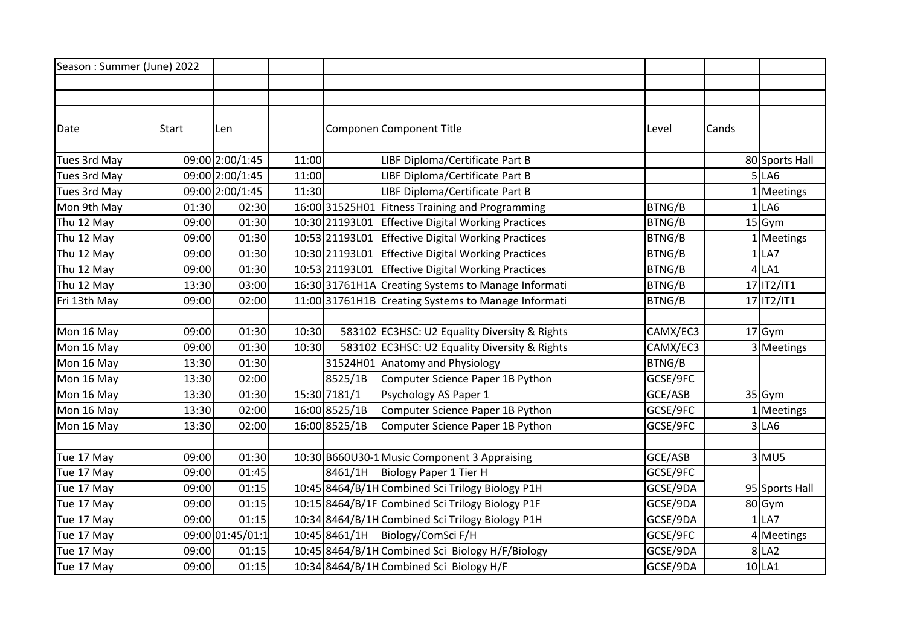| Season: Summer (June) 2022 |              |                  |       |               |                                                     |               |       |                |
|----------------------------|--------------|------------------|-------|---------------|-----------------------------------------------------|---------------|-------|----------------|
|                            |              |                  |       |               |                                                     |               |       |                |
|                            |              |                  |       |               |                                                     |               |       |                |
|                            |              |                  |       |               |                                                     |               |       |                |
| Date                       | <b>Start</b> | Len              |       |               | Componen Component Title                            | Level         | Cands |                |
|                            |              |                  |       |               |                                                     |               |       |                |
| Tues 3rd May               |              | 09:00 2:00/1:45  | 11:00 |               | LIBF Diploma/Certificate Part B                     |               |       | 80 Sports Hall |
| Tues 3rd May               |              | 09:00 2:00/1:45  | 11:00 |               | LIBF Diploma/Certificate Part B                     |               |       | 5 LA6          |
| Tues 3rd May               |              | 09:00 2:00/1:45  | 11:30 |               | LIBF Diploma/Certificate Part B                     |               |       | Meetings       |
| Mon 9th May                | 01:30        | 02:30            |       |               | 16:00 31525 H01 Fitness Training and Programming    | BTNG/B        | 1     | LA6            |
| Thu 12 May                 | 09:00        | 01:30            |       |               | 10:30 21193L01 Effective Digital Working Practices  | BTNG/B        |       | $15$ Gym       |
| Thu 12 May                 | 09:00        | 01:30            |       |               | 10:53 21193L01 Effective Digital Working Practices  | BTNG/B        |       | Meetings       |
| Thu 12 May                 | 09:00        | 01:30            |       |               | 10:30 21193101 Effective Digital Working Practices  | BTNG/B        |       | $1$ LA7        |
| Thu 12 May                 | 09:00        | 01:30            |       |               | 10:53 21193101 Effective Digital Working Practices  | BTNG/B        |       | $4$ LA1        |
| Thu 12 May                 | 13:30        | 03:00            |       |               | 16:30 31761H1A Creating Systems to Manage Informati | BTNG/B        |       | 17 IT2/IT1     |
| Fri 13th May               | 09:00        | 02:00            |       |               | 11:00 31761H1B Creating Systems to Manage Informati | BTNG/B        |       | 17 IT2/IT1     |
|                            |              |                  |       |               |                                                     |               |       |                |
| Mon 16 May                 | 09:00        | 01:30            | 10:30 |               | 583102 EC3HSC: U2 Equality Diversity & Rights       | CAMX/EC3      |       | 17 Gym         |
| Mon 16 May                 | 09:00        | 01:30            | 10:30 |               | 583102 EC3HSC: U2 Equality Diversity & Rights       | CAMX/EC3      |       | 3 Meetings     |
| Mon 16 May                 | 13:30        | 01:30            |       |               | 31524H01 Anatomy and Physiology                     | <b>BTNG/B</b> |       |                |
| Mon 16 May                 | 13:30        | 02:00            |       | 8525/1B       | Computer Science Paper 1B Python                    | GCSE/9FC      |       |                |
| Mon 16 May                 | 13:30        | 01:30            |       | 15:30 7181/1  | Psychology AS Paper 1                               | GCE/ASB       |       | 35 Gym         |
| Mon 16 May                 | 13:30        | 02:00            |       | 16:00 8525/1B | Computer Science Paper 1B Python                    | GCSE/9FC      |       | 1 Meetings     |
| Mon 16 May                 | 13:30        | 02:00            |       | 16:00 8525/1B | Computer Science Paper 1B Python                    | GCSE/9FC      |       | 3 LA6          |
|                            |              |                  |       |               |                                                     |               |       |                |
| Tue 17 May                 | 09:00        | 01:30            |       |               | 10:30 B660U30-1 Music Component 3 Appraising        | GCE/ASB       |       | $3$ MU5        |
| Tue 17 May                 | 09:00        | 01:45            |       | 8461/1H       | Biology Paper 1 Tier H                              | GCSE/9FC      |       |                |
| Tue 17 May                 | 09:00        | 01:15            |       |               | 10:45 8464/B/1H Combined Sci Trilogy Biology P1H    | GCSE/9DA      |       | 95 Sports Hall |
| Tue 17 May                 | 09:00        | 01:15            |       |               | 10:15 8464/B/1F Combined Sci Trilogy Biology P1F    | GCSE/9DA      |       | 80 Gym         |
| Tue 17 May                 | 09:00        | 01:15            |       |               | 10:34 8464/B/1H Combined Sci Trilogy Biology P1H    | GCSE/9DA      |       | $1$ LA7        |
| Tue 17 May                 |              | 09:00 01:45/01:1 |       |               | 10:45 8461/1H   Biology/ComSci F/H                  | GCSE/9FC      |       | 4 Meetings     |
| Tue 17 May                 | 09:00        | 01:15            |       |               | 10:45 8464/B/1H Combined Sci Biology H/F/Biology    | GCSE/9DA      |       | 8 LA2          |
| Tue 17 May                 | 09:00        | 01:15            |       |               | 10:34 8464/B/1H Combined Sci Biology H/F            | GCSE/9DA      |       | $10$ LA1       |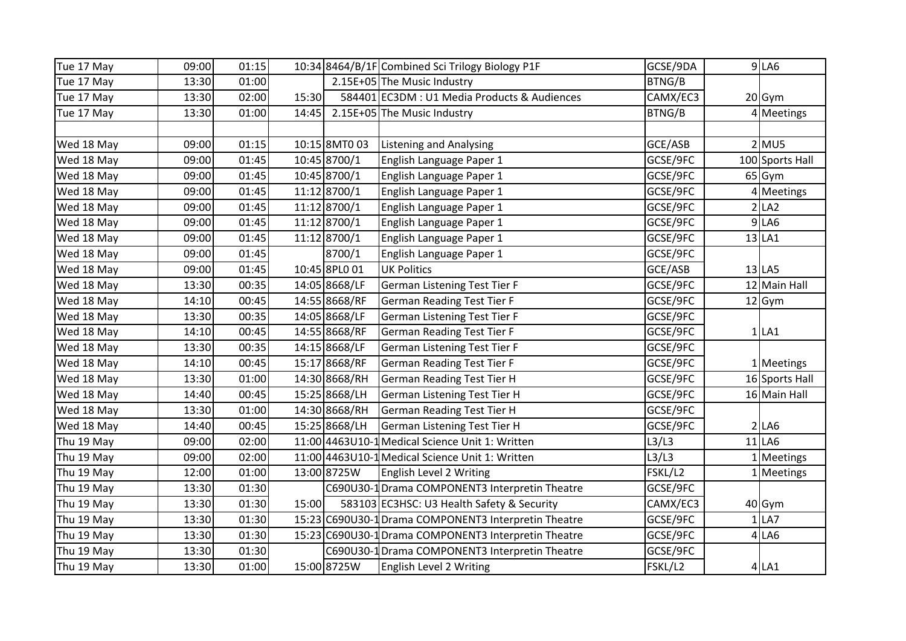| Tue 17 May | 09:00 | 01:15 |       |               | 10:34 8464/B/1F Combined Sci Trilogy Biology P1F     | GCSE/9DA | $9$ LA6         |
|------------|-------|-------|-------|---------------|------------------------------------------------------|----------|-----------------|
| Tue 17 May | 13:30 | 01:00 |       |               | 2.15E+05 The Music Industry                          | BTNG/B   |                 |
| Tue 17 May | 13:30 | 02:00 | 15:30 |               | 584401 EC3DM : U1 Media Products & Audiences         | CAMX/EC3 | 20 Gym          |
| Tue 17 May | 13:30 | 01:00 | 14:45 |               | 2.15E+05 The Music Industry                          | BTNG/B   | 4 Meetings      |
|            |       |       |       |               |                                                      |          |                 |
| Wed 18 May | 09:00 | 01:15 |       | 10:15 8MT0 03 | <b>Listening and Analysing</b>                       | GCE/ASB  | $2$ MU5         |
| Wed 18 May | 09:00 | 01:45 |       | 10:45 8700/1  | English Language Paper 1                             | GCSE/9FC | 100 Sports Hall |
| Wed 18 May | 09:00 | 01:45 |       | 10:45 8700/1  | English Language Paper 1                             | GCSE/9FC | 65 Gym          |
| Wed 18 May | 09:00 | 01:45 |       | 11:12 8700/1  | English Language Paper 1                             | GCSE/9FC | 4 Meetings      |
| Wed 18 May | 09:00 | 01:45 |       | 11:12 8700/1  | English Language Paper 1                             | GCSE/9FC | LA <sub>2</sub> |
| Wed 18 May | 09:00 | 01:45 |       | 11:12 8700/1  | English Language Paper 1                             | GCSE/9FC | $9$ LA6         |
| Wed 18 May | 09:00 | 01:45 |       | 11:12 8700/1  | English Language Paper 1                             | GCSE/9FC | $13$ LA1        |
| Wed 18 May | 09:00 | 01:45 |       | 8700/1        | English Language Paper 1                             | GCSE/9FC |                 |
| Wed 18 May | 09:00 | 01:45 |       | 10:45 8PL0 01 | <b>UK Politics</b>                                   | GCE/ASB  | $13$ LA5        |
| Wed 18 May | 13:30 | 00:35 |       | 14:05 8668/LF | German Listening Test Tier F                         | GCSE/9FC | 12 Main Hall    |
| Wed 18 May | 14:10 | 00:45 |       | 14:55 8668/RF | <b>German Reading Test Tier F</b>                    | GCSE/9FC | 12 Gym          |
| Wed 18 May | 13:30 | 00:35 |       | 14:05 8668/LF | German Listening Test Tier F                         | GCSE/9FC |                 |
| Wed 18 May | 14:10 | 00:45 |       | 14:55 8668/RF | <b>German Reading Test Tier F</b>                    | GCSE/9FC | $1$ LA1         |
| Wed 18 May | 13:30 | 00:35 |       | 14:15 8668/LF | German Listening Test Tier F                         | GCSE/9FC |                 |
| Wed 18 May | 14:10 | 00:45 |       | 15:17 8668/RF | <b>German Reading Test Tier F</b>                    | GCSE/9FC | 1 Meetings      |
| Wed 18 May | 13:30 | 01:00 |       | 14:30 8668/RH | <b>German Reading Test Tier H</b>                    | GCSE/9FC | 16 Sports Hall  |
| Wed 18 May | 14:40 | 00:45 |       | 15:25 8668/LH | German Listening Test Tier H                         | GCSE/9FC | 16 Main Hall    |
| Wed 18 May | 13:30 | 01:00 |       | 14:30 8668/RH | <b>German Reading Test Tier H</b>                    | GCSE/9FC |                 |
| Wed 18 May | 14:40 | 00:45 |       | 15:25 8668/LH | German Listening Test Tier H                         | GCSE/9FC | $2$ LA6         |
| Thu 19 May | 09:00 | 02:00 |       |               | 11:00 4463 U10-1 Medical Science Unit 1: Written     | L3/L3    | $11$ LA6        |
| Thu 19 May | 09:00 | 02:00 |       |               | 11:00 4463 U10-1 Medical Science Unit 1: Written     | L3/L3    | 1 Meetings      |
| Thu 19 May | 12:00 | 01:00 |       | 13:00 8725W   | <b>English Level 2 Writing</b>                       | FSKL/L2  | 1 Meetings      |
| Thu 19 May | 13:30 | 01:30 |       |               | C690U30-1 Drama COMPONENT3 Interpretin Theatre       | GCSE/9FC |                 |
| Thu 19 May | 13:30 | 01:30 | 15:00 |               | 583103 EC3HSC: U3 Health Safety & Security           | CAMX/EC3 | 40 Gym          |
| Thu 19 May | 13:30 | 01:30 |       |               | 15:23 C690U30-1 Drama COMPONENT3 Interpretin Theatre | GCSE/9FC | $1$ LA7         |
| Thu 19 May | 13:30 | 01:30 |       |               | 15:23 C690U30-1 Drama COMPONENT3 Interpretin Theatre | GCSE/9FC | $4$ LA6         |
| Thu 19 May | 13:30 | 01:30 |       |               | C690U30-1 Drama COMPONENT3 Interpretin Theatre       | GCSE/9FC |                 |
| Thu 19 May | 13:30 | 01:00 |       | 15:00 8725W   | English Level 2 Writing                              | FSKL/L2  | $4$ LA1         |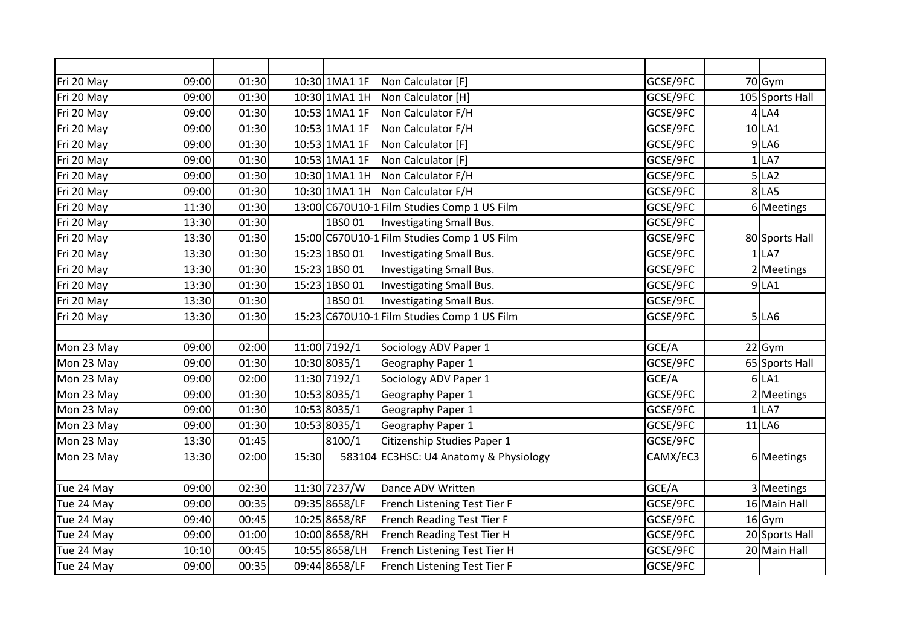| Fri 20 May | 09:00 | 01:30 |       | 10:30 1MA1 1F | Non Calculator [F]                          | GCSE/9FC | 70 Gym          |
|------------|-------|-------|-------|---------------|---------------------------------------------|----------|-----------------|
| Fri 20 May | 09:00 | 01:30 |       | 10:30 1MA1 1H | Non Calculator [H]                          | GCSE/9FC | 105 Sports Hall |
| Fri 20 May | 09:00 | 01:30 |       | 10:53 1MA1 1F | Non Calculator F/H                          | GCSE/9FC | $4$ LA4         |
| Fri 20 May | 09:00 | 01:30 |       | 10:53 1MA1 1F | Non Calculator F/H                          | GCSE/9FC | 10 LA1          |
| Fri 20 May | 09:00 | 01:30 |       | 10:53 1MA1 1F | Non Calculator [F]                          | GCSE/9FC | $9$ LA6         |
| Fri 20 May | 09:00 | 01:30 |       | 10:53 1MA1 1F | Non Calculator [F]                          | GCSE/9FC | $1$ LA7         |
| Fri 20 May | 09:00 | 01:30 |       | 10:30 1MA1 1H | Non Calculator F/H                          | GCSE/9FC | 5 LA2           |
| Fri 20 May | 09:00 | 01:30 |       | 10:30 1MA1 1H | Non Calculator F/H                          | GCSE/9FC | 8 LA5           |
| Fri 20 May | 11:30 | 01:30 |       |               | 13:00 C670U10-1 Film Studies Comp 1 US Film | GCSE/9FC | 6 Meetings      |
| Fri 20 May | 13:30 | 01:30 |       | 1BS001        | Investigating Small Bus.                    | GCSE/9FC |                 |
| Fri 20 May | 13:30 | 01:30 |       |               | 15:00 C670U10-1 Film Studies Comp 1 US Film | GCSE/9FC | 80 Sports Hall  |
| Fri 20 May | 13:30 | 01:30 |       | 15:23 1BS0 01 | Investigating Small Bus.                    | GCSE/9FC | $1$ LA7         |
| Fri 20 May | 13:30 | 01:30 |       | 15:23 1BS0 01 | Investigating Small Bus.                    | GCSE/9FC | 2 Meetings      |
| Fri 20 May | 13:30 | 01:30 |       | 15:23 1BS0 01 | Investigating Small Bus.                    | GCSE/9FC | $9$ $LA1$       |
| Fri 20 May | 13:30 | 01:30 |       | 1BS001        | Investigating Small Bus.                    | GCSE/9FC |                 |
| Fri 20 May | 13:30 | 01:30 |       |               | 15:23 C670U10-1 Film Studies Comp 1 US Film | GCSE/9FC | 5 LA6           |
|            |       |       |       |               |                                             |          |                 |
| Mon 23 May | 09:00 | 02:00 |       | 11:00 7192/1  | Sociology ADV Paper 1                       | GCE/A    | 22 Gym          |
| Mon 23 May | 09:00 | 01:30 |       | 10:30 8035/1  | Geography Paper 1                           | GCSE/9FC | 65 Sports Hall  |
| Mon 23 May | 09:00 | 02:00 |       | 11:30 7192/1  | Sociology ADV Paper 1                       | GCE/A    | $6$ LA1         |
| Mon 23 May | 09:00 | 01:30 |       | 10:53 8035/1  | Geography Paper 1                           | GCSE/9FC | 2 Meetings      |
| Mon 23 May | 09:00 | 01:30 |       | 10:53 8035/1  | Geography Paper 1                           | GCSE/9FC | $1$ LA7         |
| Mon 23 May | 09:00 | 01:30 |       | 10:53 8035/1  | Geography Paper 1                           | GCSE/9FC | 11 LA6          |
| Mon 23 May | 13:30 | 01:45 |       | 8100/1        | Citizenship Studies Paper 1                 | GCSE/9FC |                 |
| Mon 23 May | 13:30 | 02:00 | 15:30 | 583104        | EC3HSC: U4 Anatomy & Physiology             | CAMX/EC3 | 6 Meetings      |
|            |       |       |       |               |                                             |          |                 |
| Tue 24 May | 09:00 | 02:30 |       | 11:30 7237/W  | Dance ADV Written                           | GCE/A    | 3 Meetings      |
| Tue 24 May | 09:00 | 00:35 |       | 09:35 8658/LF | French Listening Test Tier F                | GCSE/9FC | 16 Main Hall    |
| Tue 24 May | 09:40 | 00:45 |       | 10:25 8658/RF | French Reading Test Tier F                  | GCSE/9FC | $16$ Gym        |
| Tue 24 May | 09:00 | 01:00 |       | 10:00 8658/RH | French Reading Test Tier H                  | GCSE/9FC | 20 Sports Hall  |
| Tue 24 May | 10:10 | 00:45 |       | 10:55 8658/LH | French Listening Test Tier H                | GCSE/9FC | 20 Main Hall    |
| Tue 24 May | 09:00 | 00:35 |       | 09:44 8658/LF | French Listening Test Tier F                | GCSE/9FC |                 |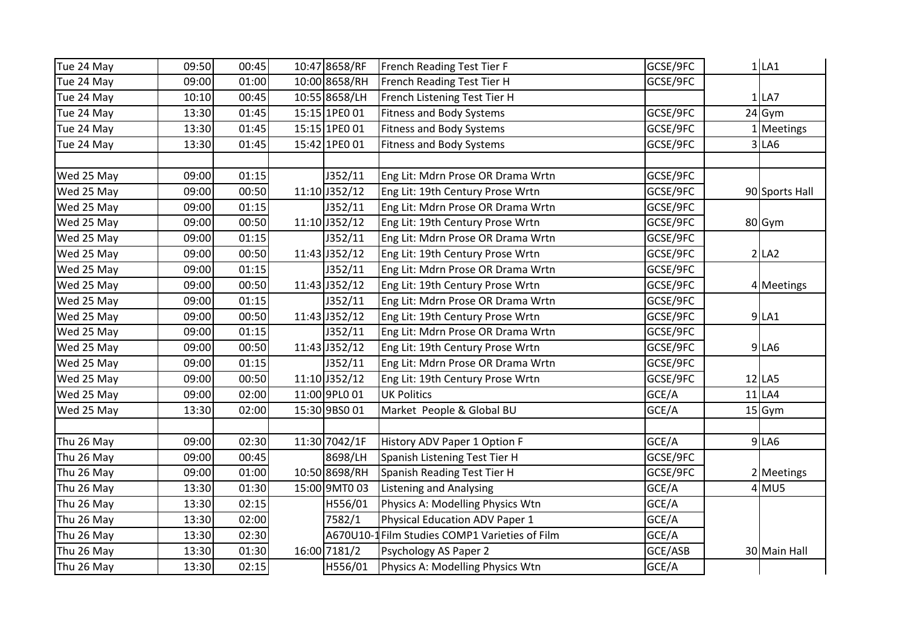| Tue 24 May | 09:50 | 00:45 | 10:47 8658/RF | French Reading Test Tier F                     | GCSE/9FC | $1$ LA1        |
|------------|-------|-------|---------------|------------------------------------------------|----------|----------------|
| Tue 24 May | 09:00 | 01:00 | 10:00 8658/RH | French Reading Test Tier H                     | GCSE/9FC |                |
| Tue 24 May | 10:10 | 00:45 | 10:55 8658/LH | French Listening Test Tier H                   |          | $1$ LA7        |
| Tue 24 May | 13:30 | 01:45 | 15:15 1PE0 01 | <b>Fitness and Body Systems</b>                | GCSE/9FC | 24 Gym         |
| Tue 24 May | 13:30 | 01:45 | 15:15 1PE0 01 | <b>Fitness and Body Systems</b>                | GCSE/9FC | Meetings       |
| Tue 24 May | 13:30 | 01:45 | 15:42 1PE0 01 | <b>Fitness and Body Systems</b>                | GCSE/9FC | 3 LA6          |
|            |       |       |               |                                                |          |                |
| Wed 25 May | 09:00 | 01:15 | J352/11       | Eng Lit: Mdrn Prose OR Drama Wrtn              | GCSE/9FC |                |
| Wed 25 May | 09:00 | 00:50 | 11:10 J352/12 | Eng Lit: 19th Century Prose Wrtn               | GCSE/9FC | 90 Sports Hall |
| Wed 25 May | 09:00 | 01:15 | J352/11       | Eng Lit: Mdrn Prose OR Drama Wrtn              | GCSE/9FC |                |
| Wed 25 May | 09:00 | 00:50 | 11:10 J352/12 | Eng Lit: 19th Century Prose Wrtn               | GCSE/9FC | 80 Gym         |
| Wed 25 May | 09:00 | 01:15 | J352/11       | Eng Lit: Mdrn Prose OR Drama Wrtn              | GCSE/9FC |                |
| Wed 25 May | 09:00 | 00:50 | 11:43 J352/12 | Eng Lit: 19th Century Prose Wrtn               | GCSE/9FC | 2 LA2          |
| Wed 25 May | 09:00 | 01:15 | J352/11       | Eng Lit: Mdrn Prose OR Drama Wrtn              | GCSE/9FC |                |
| Wed 25 May | 09:00 | 00:50 | 11:43 J352/12 | Eng Lit: 19th Century Prose Wrtn               | GCSE/9FC | 4 Meetings     |
| Wed 25 May | 09:00 | 01:15 | J352/11       | Eng Lit: Mdrn Prose OR Drama Wrtn              | GCSE/9FC |                |
| Wed 25 May | 09:00 | 00:50 | 11:43 J352/12 | Eng Lit: 19th Century Prose Wrtn               | GCSE/9FC | 9 LA1          |
| Wed 25 May | 09:00 | 01:15 | J352/11       | Eng Lit: Mdrn Prose OR Drama Wrtn              | GCSE/9FC |                |
| Wed 25 May | 09:00 | 00:50 | 11:43 J352/12 | Eng Lit: 19th Century Prose Wrtn               | GCSE/9FC | 9 LA6          |
| Wed 25 May | 09:00 | 01:15 | J352/11       | Eng Lit: Mdrn Prose OR Drama Wrtn              | GCSE/9FC |                |
| Wed 25 May | 09:00 | 00:50 | 11:10 J352/12 | Eng Lit: 19th Century Prose Wrtn               | GCSE/9FC | $12$ LA5       |
| Wed 25 May | 09:00 | 02:00 | 11:00 9PL0 01 | <b>UK Politics</b>                             | GCE/A    | $11$ LA4       |
| Wed 25 May | 13:30 | 02:00 | 15:30 9BS0 01 | Market People & Global BU                      | GCE/A    | $15$ Gym       |
|            |       |       |               |                                                |          |                |
| Thu 26 May | 09:00 | 02:30 | 11:30 7042/1F | History ADV Paper 1 Option F                   | GCE/A    | $9$ LA6        |
| Thu 26 May | 09:00 | 00:45 | 8698/LH       | Spanish Listening Test Tier H                  | GCSE/9FC |                |
| Thu 26 May | 09:00 | 01:00 | 10:50 8698/RH | Spanish Reading Test Tier H                    | GCSE/9FC | 2 Meetings     |
| Thu 26 May | 13:30 | 01:30 | 15:00 9MT0 03 | <b>Listening and Analysing</b>                 | GCE/A    | $4$ MU5        |
| Thu 26 May | 13:30 | 02:15 | H556/01       | Physics A: Modelling Physics Wtn               | GCE/A    |                |
| Thu 26 May | 13:30 | 02:00 | 7582/1        | Physical Education ADV Paper 1                 | GCE/A    |                |
| Thu 26 May | 13:30 | 02:30 |               | A670U10-1 Film Studies COMP1 Varieties of Film | GCE/A    |                |
| Thu 26 May | 13:30 | 01:30 | 16:00 7181/2  | Psychology AS Paper 2                          | GCE/ASB  | 30 Main Hall   |
| Thu 26 May | 13:30 | 02:15 | H556/01       | Physics A: Modelling Physics Wtn               | GCE/A    |                |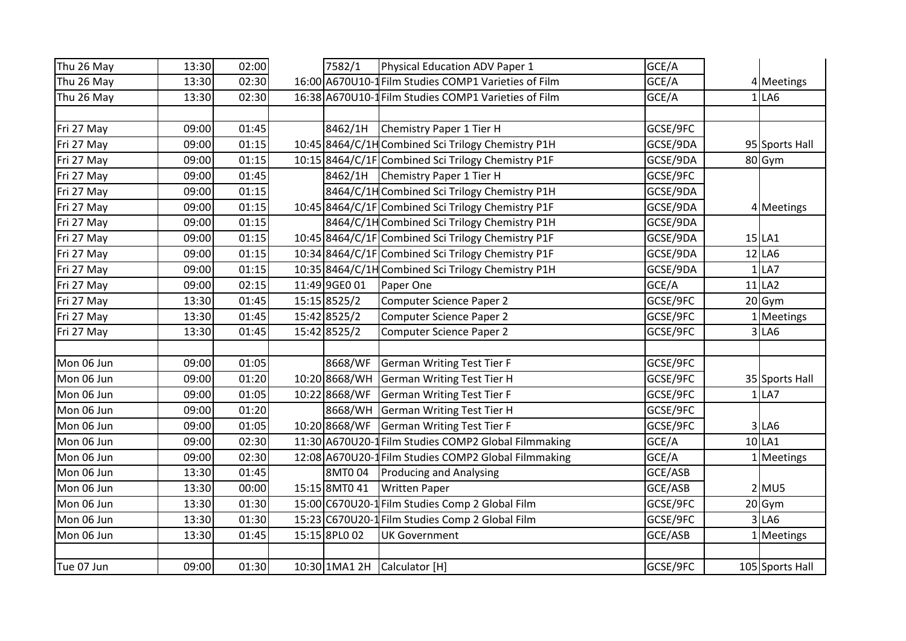| Thu 26 May | 13:30 | 02:00 | 7582/1        | Physical Education ADV Paper 1                       | GCE/A    |              |                 |
|------------|-------|-------|---------------|------------------------------------------------------|----------|--------------|-----------------|
| Thu 26 May | 13:30 | 02:30 |               | 16:00 A670U10-1 Film Studies COMP1 Varieties of Film | GCE/A    |              | 4 Meetings      |
| Thu 26 May | 13:30 | 02:30 |               | 16:38 A670U10-1 Film Studies COMP1 Varieties of Film | GCE/A    |              | $1$ LA6         |
|            |       |       |               |                                                      |          |              |                 |
| Fri 27 May | 09:00 | 01:45 | 8462/1H       | Chemistry Paper 1 Tier H                             | GCSE/9FC |              |                 |
| Fri 27 May | 09:00 | 01:15 |               | 10:45 8464/C/1H Combined Sci Trilogy Chemistry P1H   | GCSE/9DA |              | 95 Sports Hall  |
| Fri 27 May | 09:00 | 01:15 |               | 10:15 8464/C/1F Combined Sci Trilogy Chemistry P1F   | GCSE/9DA |              | 80 Gym          |
| Fri 27 May | 09:00 | 01:45 |               | 8462/1H Chemistry Paper 1 Tier H                     | GCSE/9FC |              |                 |
| Fri 27 May | 09:00 | 01:15 |               | 8464/C/1H Combined Sci Trilogy Chemistry P1H         | GCSE/9DA |              |                 |
| Fri 27 May | 09:00 | 01:15 |               | 10:45 8464/C/1F Combined Sci Trilogy Chemistry P1F   | GCSE/9DA |              | 4 Meetings      |
| Fri 27 May | 09:00 | 01:15 |               | 8464/C/1H Combined Sci Trilogy Chemistry P1H         | GCSE/9DA |              |                 |
| Fri 27 May | 09:00 | 01:15 |               | 10:45 8464/C/1F Combined Sci Trilogy Chemistry P1F   | GCSE/9DA |              | $15$ LA1        |
| Fri 27 May | 09:00 | 01:15 |               | 10:34 8464/C/1F Combined Sci Trilogy Chemistry P1F   | GCSE/9DA |              | 12 LA6          |
| Fri 27 May | 09:00 | 01:15 |               | 10:35 8464/C/1H Combined Sci Trilogy Chemistry P1H   | GCSE/9DA | $\mathbf{1}$ | LA7             |
| Fri 27 May | 09:00 | 02:15 | 11:49 9GE0 01 | Paper One                                            | GCE/A    |              | $11$ LA2        |
| Fri 27 May | 13:30 | 01:45 | 15:15 8525/2  | Computer Science Paper 2                             | GCSE/9FC |              | 20 Gym          |
| Fri 27 May | 13:30 | 01:45 | 15:42 8525/2  | Computer Science Paper 2                             | GCSE/9FC |              | 1 Meetings      |
| Fri 27 May | 13:30 | 01:45 | 15:42 8525/2  | <b>Computer Science Paper 2</b>                      | GCSE/9FC |              | 3 LA6           |
|            |       |       |               |                                                      |          |              |                 |
| Mon 06 Jun | 09:00 | 01:05 | 8668/WF       | <b>German Writing Test Tier F</b>                    | GCSE/9FC |              |                 |
| Mon 06 Jun | 09:00 | 01:20 | 10:20 8668/WH | German Writing Test Tier H                           | GCSE/9FC |              | 35 Sports Hall  |
| Mon 06 Jun | 09:00 | 01:05 | 10:22 8668/WF | German Writing Test Tier F                           | GCSE/9FC |              | $1$ LA7         |
| Mon 06 Jun | 09:00 | 01:20 | 8668/WH       | German Writing Test Tier H                           | GCSE/9FC |              |                 |
| Mon 06 Jun | 09:00 | 01:05 | 10:20 8668/WF | German Writing Test Tier F                           | GCSE/9FC |              | $3$ LA6         |
| Mon 06 Jun | 09:00 | 02:30 |               | 11:30 A670U20-1 Film Studies COMP2 Global Filmmaking | GCE/A    |              | $10$ LA1        |
| Mon 06 Jun | 09:00 | 02:30 |               | 12:08 A670U20-1 Film Studies COMP2 Global Filmmaking | GCE/A    |              | 1 Meetings      |
| Mon 06 Jun | 13:30 | 01:45 | 8MT004        | <b>Producing and Analysing</b>                       | GCE/ASB  |              |                 |
| Mon 06 Jun | 13:30 | 00:00 | 15:15 8MT0 41 | <b>Written Paper</b>                                 | GCE/ASB  |              | $2$ MU5         |
| Mon 06 Jun | 13:30 | 01:30 |               | 15:00 C670U20-1 Film Studies Comp 2 Global Film      | GCSE/9FC |              | 20 Gym          |
| Mon 06 Jun | 13:30 | 01:30 |               | 15:23 C670U20-1 Film Studies Comp 2 Global Film      | GCSE/9FC |              | $3$ LA6         |
| Mon 06 Jun | 13:30 | 01:45 | 15:15 8PL0 02 | <b>UK Government</b>                                 | GCE/ASB  |              | 1 Meetings      |
|            |       |       |               |                                                      |          |              |                 |
| Tue 07 Jun | 09:00 | 01:30 |               | 10:30 1MA1 2H Calculator [H]                         | GCSE/9FC |              | 105 Sports Hall |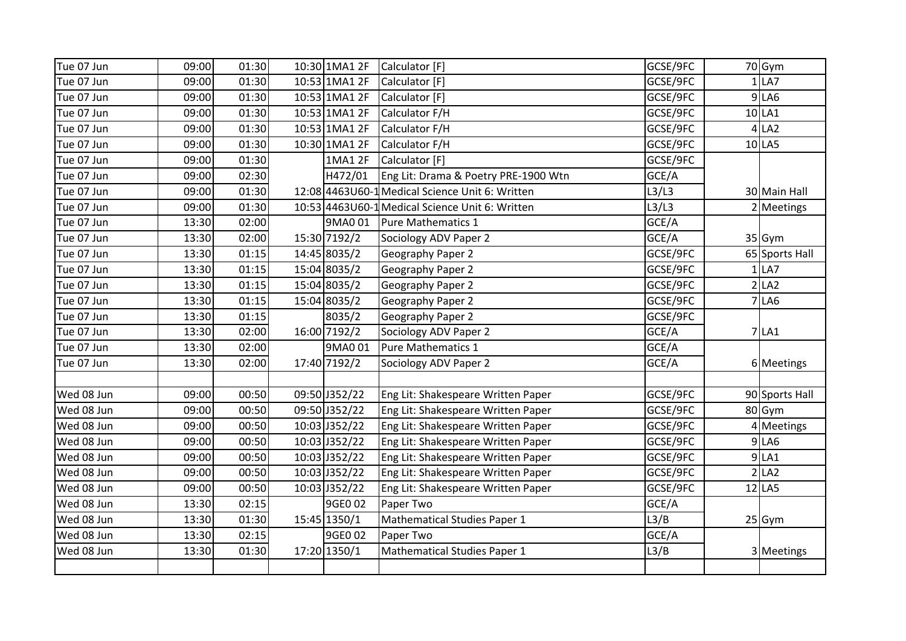| Tue 07 Jun | 09:00 | 01:30 | 10:30 1MA1 2F | Calculator [F]                                   | GCSE/9FC | 70 Gym         |
|------------|-------|-------|---------------|--------------------------------------------------|----------|----------------|
| Tue 07 Jun | 09:00 | 01:30 | 10:53 1MA1 2F | Calculator [F]                                   | GCSE/9FC | $1$ LA7        |
| Tue 07 Jun | 09:00 | 01:30 | 10:53 1MA1 2F | Calculator [F]                                   | GCSE/9FC | $9$ LA6        |
| Tue 07 Jun | 09:00 | 01:30 | 10:53 1MA1 2F | Calculator F/H                                   | GCSE/9FC | 10 LA1         |
| Tue 07 Jun | 09:00 | 01:30 | 10:53 1MA1 2F | Calculator F/H                                   | GCSE/9FC | $4$ LA2        |
| Tue 07 Jun | 09:00 | 01:30 | 10:30 1MA1 2F | Calculator F/H                                   | GCSE/9FC | $10$ LA5       |
| Tue 07 Jun | 09:00 | 01:30 | 1MA1 2F       | Calculator [F]                                   | GCSE/9FC |                |
| Tue 07 Jun | 09:00 | 02:30 | H472/01       | Eng Lit: Drama & Poetry PRE-1900 Wtn             | GCE/A    |                |
| Tue 07 Jun | 09:00 | 01:30 |               | 12:08 4463 U60-1 Medical Science Unit 6: Written | L3/L3    | 30 Main Hall   |
| Tue 07 Jun | 09:00 | 01:30 |               | 10:53 4463 U60-1 Medical Science Unit 6: Written | L3/L3    | 2 Meetings     |
| Tue 07 Jun | 13:30 | 02:00 | 9MA0 01       | Pure Mathematics 1                               | GCE/A    |                |
| Tue 07 Jun | 13:30 | 02:00 | 15:30 7192/2  | Sociology ADV Paper 2                            | GCE/A    | 35 Gym         |
| Tue 07 Jun | 13:30 | 01:15 | 14:45 8035/2  | Geography Paper 2                                | GCSE/9FC | 65 Sports Hall |
| Tue 07 Jun | 13:30 | 01:15 | 15:04 8035/2  | Geography Paper 2                                | GCSE/9FC | $1$ LA7        |
| Tue 07 Jun | 13:30 | 01:15 | 15:04 8035/2  | Geography Paper 2                                | GCSE/9FC | 2 LA2          |
| Tue 07 Jun | 13:30 | 01:15 | 15:04 8035/2  | Geography Paper 2                                | GCSE/9FC | <b>7 LA6</b>   |
| Tue 07 Jun | 13:30 | 01:15 | 8035/2        | Geography Paper 2                                | GCSE/9FC |                |
| Tue 07 Jun | 13:30 | 02:00 | 16:00 7192/2  | Sociology ADV Paper 2                            | GCE/A    | $7$ LA1        |
| Tue 07 Jun | 13:30 | 02:00 | 9MA0 01       | Pure Mathematics 1                               | GCE/A    |                |
| Tue 07 Jun | 13:30 | 02:00 | 17:40 7192/2  | Sociology ADV Paper 2                            | GCE/A    | 6 Meetings     |
|            |       |       |               |                                                  |          |                |
| Wed 08 Jun | 09:00 | 00:50 | 09:50 J352/22 | Eng Lit: Shakespeare Written Paper               | GCSE/9FC | 90 Sports Hall |
| Wed 08 Jun | 09:00 | 00:50 | 09:50 J352/22 | Eng Lit: Shakespeare Written Paper               | GCSE/9FC | 80 Gym         |
| Wed 08 Jun | 09:00 | 00:50 | 10:03 J352/22 | Eng Lit: Shakespeare Written Paper               | GCSE/9FC | 4 Meetings     |
| Wed 08 Jun | 09:00 | 00:50 | 10:03 J352/22 | Eng Lit: Shakespeare Written Paper               | GCSE/9FC | $9$ LA6        |
| Wed 08 Jun | 09:00 | 00:50 | 10:03 J352/22 | Eng Lit: Shakespeare Written Paper               | GCSE/9FC | $9$ LA1        |
| Wed 08 Jun | 09:00 | 00:50 | 10:03 J352/22 | Eng Lit: Shakespeare Written Paper               | GCSE/9FC | 2 LA2          |
| Wed 08 Jun | 09:00 | 00:50 | 10:03 J352/22 | Eng Lit: Shakespeare Written Paper               | GCSE/9FC | $12$ LA5       |
| Wed 08 Jun | 13:30 | 02:15 | 9GE0 02       | Paper Two                                        | GCE/A    |                |
| Wed 08 Jun | 13:30 | 01:30 | 15:45 1350/1  | <b>Mathematical Studies Paper 1</b>              | L3/B     | 25 Gym         |
| Wed 08 Jun | 13:30 | 02:15 | 9GE0 02       | Paper Two                                        | GCE/A    |                |
| Wed 08 Jun | 13:30 | 01:30 | 17:20 1350/1  | <b>Mathematical Studies Paper 1</b>              | L3/B     | 3 Meetings     |
|            |       |       |               |                                                  |          |                |
|            |       |       |               |                                                  |          |                |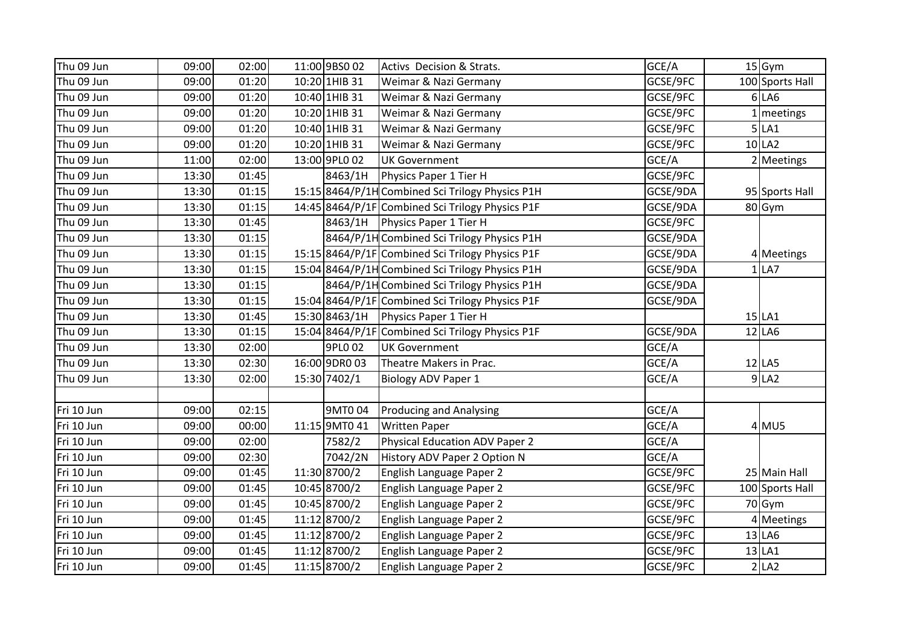| Thu 09 Jun | 09:00 | 02:00 | 11:00 9BS0 02 | Activs Decision & Strats.                        | GCE/A    | $15$ Gym        |
|------------|-------|-------|---------------|--------------------------------------------------|----------|-----------------|
| Thu 09 Jun | 09:00 | 01:20 | 10:20 1HIB 31 | Weimar & Nazi Germany                            | GCSE/9FC | 100 Sports Hall |
| Thu 09 Jun | 09:00 | 01:20 | 10:40 1HIB 31 | Weimar & Nazi Germany                            | GCSE/9FC | $6$ LA $6$      |
| Thu 09 Jun | 09:00 | 01:20 | 10:20 1HIB 31 | Weimar & Nazi Germany                            | GCSE/9FC | meetings        |
| Thu 09 Jun | 09:00 | 01:20 | 10:40 1HIB 31 | Weimar & Nazi Germany                            | GCSE/9FC | $5$ $LA1$       |
| Thu 09 Jun | 09:00 | 01:20 | 10:20 1HIB 31 | Weimar & Nazi Germany                            | GCSE/9FC | $10$ LA2        |
| Thu 09 Jun | 11:00 | 02:00 | 13:00 9PL0 02 | <b>UK Government</b>                             | GCE/A    | 2 Meetings      |
| Thu 09 Jun | 13:30 | 01:45 | 8463/1H       | Physics Paper 1 Tier H                           | GCSE/9FC |                 |
| Thu 09 Jun | 13:30 | 01:15 |               | 15:15 8464/P/1H Combined Sci Trilogy Physics P1H | GCSE/9DA | 95 Sports Hall  |
| Thu 09 Jun | 13:30 | 01:15 |               | 14:45 8464/P/1F Combined Sci Trilogy Physics P1F | GCSE/9DA | 80 Gym          |
| Thu 09 Jun | 13:30 | 01:45 |               | 8463/1H Physics Paper 1 Tier H                   | GCSE/9FC |                 |
| Thu 09 Jun | 13:30 | 01:15 |               | 8464/P/1H Combined Sci Trilogy Physics P1H       | GCSE/9DA |                 |
| Thu 09 Jun | 13:30 | 01:15 |               | 15:15 8464/P/1F Combined Sci Trilogy Physics P1F | GCSE/9DA | 4 Meetings      |
| Thu 09 Jun | 13:30 | 01:15 |               | 15:04 8464/P/1H Combined Sci Trilogy Physics P1H | GCSE/9DA | $1$ LA7         |
| Thu 09 Jun | 13:30 | 01:15 |               | 8464/P/1H Combined Sci Trilogy Physics P1H       | GCSE/9DA |                 |
| Thu 09 Jun | 13:30 | 01:15 |               | 15:04 8464/P/1F Combined Sci Trilogy Physics P1F | GCSE/9DA |                 |
| Thu 09 Jun | 13:30 | 01:45 | 15:30 8463/1H | Physics Paper 1 Tier H                           |          | $15$ LA1        |
| Thu 09 Jun | 13:30 | 01:15 |               | 15:04 8464/P/1F Combined Sci Trilogy Physics P1F | GCSE/9DA | 12 LA6          |
| Thu 09 Jun | 13:30 | 02:00 | 9PL0 02       | <b>UK Government</b>                             | GCE/A    |                 |
| Thu 09 Jun | 13:30 | 02:30 | 16:00 9DR0 03 | Theatre Makers in Prac.                          | GCE/A    | $12$ LA5        |
| Thu 09 Jun | 13:30 | 02:00 | 15:30 7402/1  | <b>Biology ADV Paper 1</b>                       | GCE/A    | $9$ LA2         |
|            |       |       |               |                                                  |          |                 |
| Fri 10 Jun | 09:00 | 02:15 | 9MT004        | <b>Producing and Analysing</b>                   | GCE/A    |                 |
| Fri 10 Jun | 09:00 | 00:00 | 11:15 9MT0 41 | <b>Written Paper</b>                             | GCE/A    | $4$ MU5         |
| Fri 10 Jun | 09:00 | 02:00 | 7582/2        | Physical Education ADV Paper 2                   | GCE/A    |                 |
| Fri 10 Jun | 09:00 | 02:30 | 7042/2N       | History ADV Paper 2 Option N                     | GCE/A    |                 |
| Fri 10 Jun | 09:00 | 01:45 | 11:30 8700/2  | English Language Paper 2                         | GCSE/9FC | 25 Main Hall    |
| Fri 10 Jun | 09:00 | 01:45 | 10:45 8700/2  | English Language Paper 2                         | GCSE/9FC | 100 Sports Hall |
| Fri 10 Jun | 09:00 | 01:45 | 10:45 8700/2  | English Language Paper 2                         | GCSE/9FC | 70 Gym          |
| Fri 10 Jun | 09:00 | 01:45 | 11:12 8700/2  | English Language Paper 2                         | GCSE/9FC | 4 Meetings      |
| Fri 10 Jun | 09:00 | 01:45 | 11:12 8700/2  | English Language Paper 2                         | GCSE/9FC | $13$ LA6        |
| Fri 10 Jun | 09:00 | 01:45 | 11:12 8700/2  | English Language Paper 2                         | GCSE/9FC | $13$ LA1        |
| Fri 10 Jun | 09:00 | 01:45 | 11:15 8700/2  | English Language Paper 2                         | GCSE/9FC | $2$ LA2         |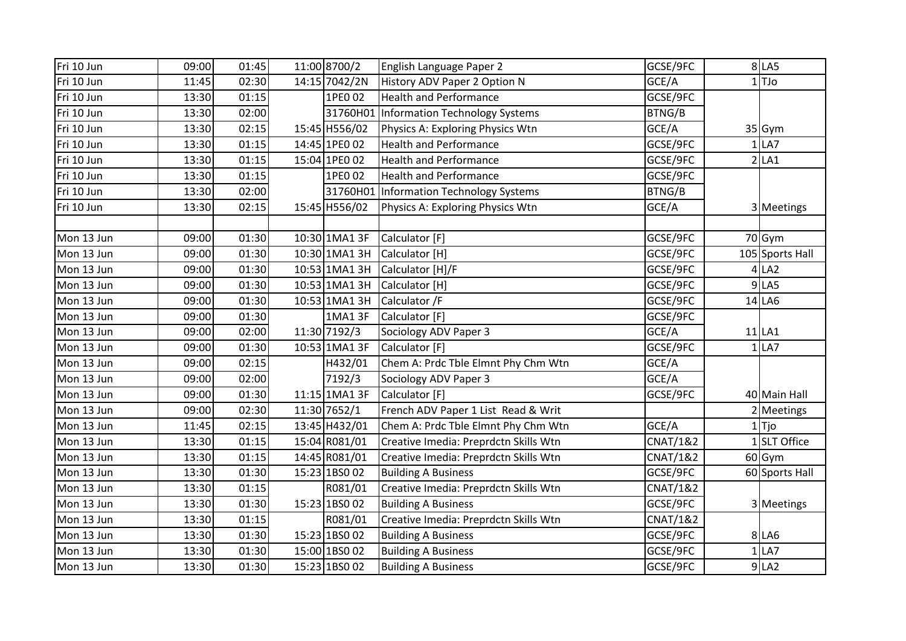| Fri 10 Jun | 09:00 | 01:45 | 11:00 8700/2    | English Language Paper 2                | GCSE/9FC            |   | 8 LA5           |
|------------|-------|-------|-----------------|-----------------------------------------|---------------------|---|-----------------|
| Fri 10 Jun | 11:45 | 02:30 | 14:15 7042/2N   | History ADV Paper 2 Option N            | GCE/A               | 1 | LTJo            |
| Fri 10 Jun | 13:30 | 01:15 | 1PE0 02         | <b>Health and Performance</b>           | GCSE/9FC            |   |                 |
| Fri 10 Jun | 13:30 | 02:00 |                 | 31760H01 Information Technology Systems | BTNG/B              |   |                 |
| Fri 10 Jun | 13:30 | 02:15 | 15:45 H556/02   | Physics A: Exploring Physics Wtn        | GCE/A               |   | 35 Gym          |
| Fri 10 Jun | 13:30 | 01:15 | 14:45 1PE0 02   | <b>Health and Performance</b>           | GCSE/9FC            |   | LA7             |
| Fri 10 Jun | 13:30 | 01:15 | 15:04 1PE0 02   | <b>Health and Performance</b>           | GCSE/9FC            |   | $2$ LA1         |
| Fri 10 Jun | 13:30 | 01:15 | 1PE0 02         | <b>Health and Performance</b>           | GCSE/9FC            |   |                 |
| Fri 10 Jun | 13:30 | 02:00 | 31760H01        | Information Technology Systems          | BTNG/B              |   |                 |
| Fri 10 Jun | 13:30 | 02:15 | 15:45 H556/02   | Physics A: Exploring Physics Wtn        | GCE/A               |   | 3 Meetings      |
|            |       |       |                 |                                         |                     |   |                 |
| Mon 13 Jun | 09:00 | 01:30 | 10:30 1MA1 3F   | Calculator [F]                          | GCSE/9FC            |   | 70 Gym          |
| Mon 13 Jun | 09:00 | 01:30 | 10:30 1MA1 3H   | Calculator [H]                          | GCSE/9FC            |   | 105 Sports Hall |
| Mon 13 Jun | 09:00 | 01:30 | 10:53 1MA1 3H   | Calculator [H]/F                        | GCSE/9FC            |   | $4$ LA2         |
| Mon 13 Jun | 09:00 | 01:30 | $10:53$ 1MA1 3H | Calculator [H]                          | GCSE/9FC            |   | 9 LA5           |
| Mon 13 Jun | 09:00 | 01:30 | 10:53 1MA1 3H   | Calculator /F                           | GCSE/9FC            |   | 14 LA6          |
| Mon 13 Jun | 09:00 | 01:30 | 1MA1 3F         | Calculator [F]                          | GCSE/9FC            |   |                 |
| Mon 13 Jun | 09:00 | 02:00 | 11:30 7192/3    | Sociology ADV Paper 3                   | GCE/A               |   | $11$ LA1        |
| Mon 13 Jun | 09:00 | 01:30 | 10:53 1MA1 3F   | Calculator [F]                          | GCSE/9FC            |   | $1$ LA7         |
| Mon 13 Jun | 09:00 | 02:15 | H432/01         | Chem A: Prdc Tble Elmnt Phy Chm Wtn     | GCE/A               |   |                 |
| Mon 13 Jun | 09:00 | 02:00 | 7192/3          | Sociology ADV Paper 3                   | GCE/A               |   |                 |
| Mon 13 Jun | 09:00 | 01:30 | 11:15 1MA1 3F   | Calculator [F]                          | GCSE/9FC            |   | 40 Main Hall    |
| Mon 13 Jun | 09:00 | 02:30 | 11:30 7652/1    | French ADV Paper 1 List Read & Writ     |                     |   | 2 Meetings      |
| Mon 13 Jun | 11:45 | 02:15 | 13:45 H432/01   | Chem A: Prdc Tble Elmnt Phy Chm Wtn     | GCE/A               |   | $ $ Tjo         |
| Mon 13 Jun | 13:30 | 01:15 | 15:04 R081/01   | Creative Imedia: Preprdctn Skills Wtn   | <b>CNAT/1&amp;2</b> |   | 1SLT Office     |
| Mon 13 Jun | 13:30 | 01:15 | 14:45 R081/01   | Creative Imedia: Preprdctn Skills Wtn   | <b>CNAT/1&amp;2</b> |   | $60$ Gym        |
| Mon 13 Jun | 13:30 | 01:30 | 15:23 1BS0 02   | <b>Building A Business</b>              | GCSE/9FC            |   | 60 Sports Hall  |
| Mon 13 Jun | 13:30 | 01:15 | R081/01         | Creative Imedia: Preprdctn Skills Wtn   | <b>CNAT/1&amp;2</b> |   |                 |
| Mon 13 Jun | 13:30 | 01:30 | 15:23 1BS0 02   | <b>Building A Business</b>              | GCSE/9FC            |   | 3 Meetings      |
| Mon 13 Jun | 13:30 | 01:15 | R081/01         | Creative Imedia: Preprdctn Skills Wtn   | <b>CNAT/1&amp;2</b> |   |                 |
| Mon 13 Jun | 13:30 | 01:30 | 15:23 1BS0 02   | <b>Building A Business</b>              | GCSE/9FC            |   | 8 LA6           |
| Mon 13 Jun | 13:30 | 01:30 | 15:00 1BS0 02   | <b>Building A Business</b>              | GCSE/9FC            | 1 | LA7             |
| Mon 13 Jun | 13:30 | 01:30 | 15:23 1BS0 02   | <b>Building A Business</b>              | GCSE/9FC            |   | $9$ LA2         |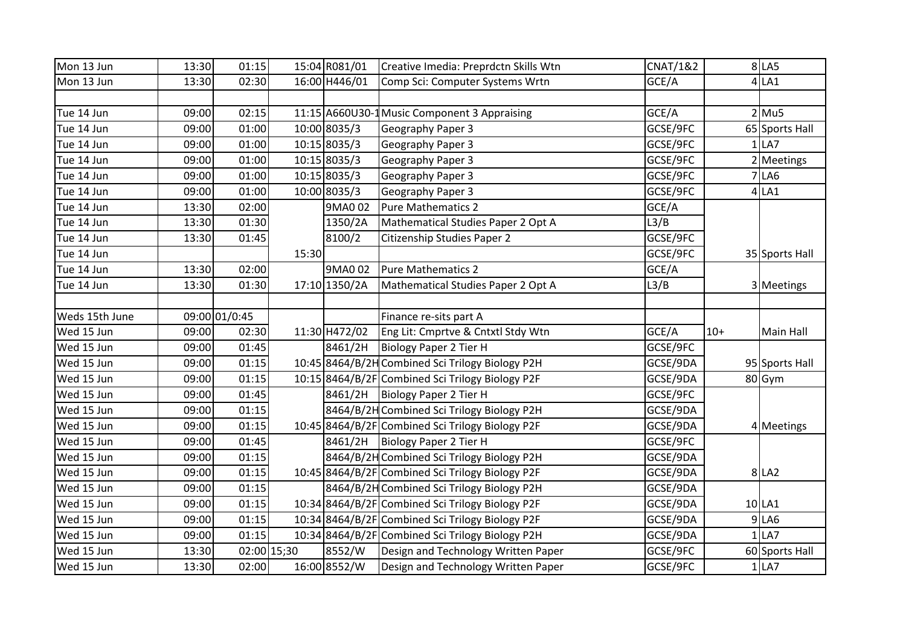| Mon 13 Jun     | 13:30 | 01:15         |             | 15:04 R081/01 | Creative Imedia: Preprdctn Skills Wtn            | <b>CNAT/1&amp;2</b> |       | $8$ LA5        |
|----------------|-------|---------------|-------------|---------------|--------------------------------------------------|---------------------|-------|----------------|
| Mon 13 Jun     | 13:30 | 02:30         |             | 16:00 H446/01 | Comp Sci: Computer Systems Wrtn                  | GCE/A               |       | $4$ LA1        |
|                |       |               |             |               |                                                  |                     |       |                |
| Tue 14 Jun     | 09:00 | 02:15         |             |               | 11:15 A660U30-1 Music Component 3 Appraising     | GCE/A               |       | $2$ Mu5        |
| Tue 14 Jun     | 09:00 | 01:00         |             | 10:00 8035/3  | Geography Paper 3                                | GCSE/9FC            |       | 65 Sports Hall |
| Tue 14 Jun     | 09:00 | 01:00         |             | 10:15 8035/3  | Geography Paper 3                                | GCSE/9FC            |       | $1$ LA7        |
| Tue 14 Jun     | 09:00 | 01:00         |             | 10:15 8035/3  | Geography Paper 3                                | GCSE/9FC            |       | 2 Meetings     |
| Tue 14 Jun     | 09:00 | 01:00         |             | 10:15 8035/3  | Geography Paper 3                                | GCSE/9FC            |       | <b>7 LA6</b>   |
| Tue 14 Jun     | 09:00 | 01:00         |             | 10:00 8035/3  | Geography Paper 3                                | GCSE/9FC            |       | $4$ LA1        |
| Tue 14 Jun     | 13:30 | 02:00         |             | 9MA0 02       | <b>Pure Mathematics 2</b>                        | GCE/A               |       |                |
| Tue 14 Jun     | 13:30 | 01:30         |             | 1350/2A       | Mathematical Studies Paper 2 Opt A               | L3/B                |       |                |
| Tue 14 Jun     | 13:30 | 01:45         |             | 8100/2        | <b>Citizenship Studies Paper 2</b>               | GCSE/9FC            |       |                |
| Tue 14 Jun     |       |               | 15:30       |               |                                                  | GCSE/9FC            |       | 35 Sports Hall |
| Tue 14 Jun     | 13:30 | 02:00         |             | 9MA0 02       | <b>Pure Mathematics 2</b>                        | GCE/A               |       |                |
| Tue 14 Jun     | 13:30 | 01:30         |             | 17:10 1350/2A | Mathematical Studies Paper 2 Opt A               | L3/B                |       | 3 Meetings     |
|                |       |               |             |               |                                                  |                     |       |                |
| Weds 15th June |       | 09:00 01/0:45 |             |               | Finance re-sits part A                           |                     |       |                |
| Wed 15 Jun     | 09:00 | 02:30         |             | 11:30 H472/02 | Eng Lit: Cmprtve & Cntxtl Stdy Wtn               | GCE/A               | $10+$ | Main Hall      |
| Wed 15 Jun     | 09:00 | 01:45         |             | 8461/2H       | Biology Paper 2 Tier H                           | GCSE/9FC            |       |                |
| Wed 15 Jun     | 09:00 | 01:15         |             |               | 10:45 8464/B/2H Combined Sci Trilogy Biology P2H | GCSE/9DA            |       | 95 Sports Hall |
| Wed 15 Jun     | 09:00 | 01:15         |             |               | 10:15 8464/B/2F Combined Sci Trilogy Biology P2F | GCSE/9DA            |       | 80 Gym         |
| Wed 15 Jun     | 09:00 | 01:45         |             | 8461/2H       | Biology Paper 2 Tier H                           | GCSE/9FC            |       |                |
| Wed 15 Jun     | 09:00 | 01:15         |             |               | 8464/B/2H Combined Sci Trilogy Biology P2H       | GCSE/9DA            |       |                |
| Wed 15 Jun     | 09:00 | 01:15         |             |               | 10:45 8464/B/2F Combined Sci Trilogy Biology P2F | GCSE/9DA            |       | 4 Meetings     |
| Wed 15 Jun     | 09:00 | 01:45         |             | 8461/2H       | Biology Paper 2 Tier H                           | GCSE/9FC            |       |                |
| Wed 15 Jun     | 09:00 | 01:15         |             |               | 8464/B/2H Combined Sci Trilogy Biology P2H       | GCSE/9DA            |       |                |
| Wed 15 Jun     | 09:00 | 01:15         |             |               | 10:45 8464/B/2F Combined Sci Trilogy Biology P2F | GCSE/9DA            |       | 8 LA2          |
| Wed 15 Jun     | 09:00 | 01:15         |             |               | 8464/B/2H Combined Sci Trilogy Biology P2H       | GCSE/9DA            |       |                |
| Wed 15 Jun     | 09:00 | 01:15         |             |               | 10:34 8464/B/2F Combined Sci Trilogy Biology P2F | GCSE/9DA            |       | $10$ LA1       |
| Wed 15 Jun     | 09:00 | 01:15         |             |               | 10:34 8464/B/2F Combined Sci Trilogy Biology P2F | GCSE/9DA            |       | $9$ LA6        |
| Wed 15 Jun     | 09:00 | 01:15         |             |               | 10:34 8464/B/2F Combined Sci Trilogy Biology P2H | GCSE/9DA            |       | $1$ LA7        |
| Wed 15 Jun     | 13:30 |               | 02:00 15;30 | 8552/W        | Design and Technology Written Paper              | GCSE/9FC            |       | 60 Sports Hall |
| Wed 15 Jun     | 13:30 | 02:00         |             | 16:00 8552/W  | Design and Technology Written Paper              | GCSE/9FC            |       | $1$ LA7        |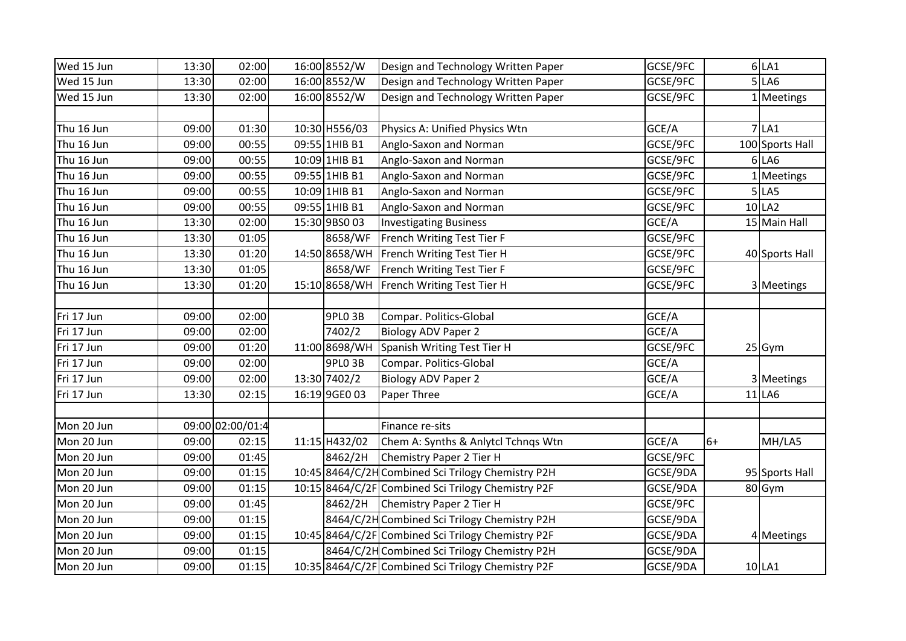|       |                                                                                                                                                                                                                                                                                              |                  |                                                                                                                                                                                                                                                                          |                                                                                                                                                                                                                                                                                                                                                                                                                                                                                                                                                                                                                                                                                                                                                            |                                  | $6$ LA1         |
|-------|----------------------------------------------------------------------------------------------------------------------------------------------------------------------------------------------------------------------------------------------------------------------------------------------|------------------|--------------------------------------------------------------------------------------------------------------------------------------------------------------------------------------------------------------------------------------------------------------------------|------------------------------------------------------------------------------------------------------------------------------------------------------------------------------------------------------------------------------------------------------------------------------------------------------------------------------------------------------------------------------------------------------------------------------------------------------------------------------------------------------------------------------------------------------------------------------------------------------------------------------------------------------------------------------------------------------------------------------------------------------------|----------------------------------|-----------------|
|       |                                                                                                                                                                                                                                                                                              |                  |                                                                                                                                                                                                                                                                          |                                                                                                                                                                                                                                                                                                                                                                                                                                                                                                                                                                                                                                                                                                                                                            |                                  | 5 LA6           |
|       |                                                                                                                                                                                                                                                                                              |                  |                                                                                                                                                                                                                                                                          |                                                                                                                                                                                                                                                                                                                                                                                                                                                                                                                                                                                                                                                                                                                                                            |                                  | 1 Meetings      |
|       |                                                                                                                                                                                                                                                                                              |                  |                                                                                                                                                                                                                                                                          |                                                                                                                                                                                                                                                                                                                                                                                                                                                                                                                                                                                                                                                                                                                                                            |                                  |                 |
| 01:30 |                                                                                                                                                                                                                                                                                              |                  | Physics A: Unified Physics Wtn                                                                                                                                                                                                                                           | GCE/A                                                                                                                                                                                                                                                                                                                                                                                                                                                                                                                                                                                                                                                                                                                                                      |                                  | $7$ LA1         |
| 00:55 |                                                                                                                                                                                                                                                                                              |                  | Anglo-Saxon and Norman                                                                                                                                                                                                                                                   | GCSE/9FC                                                                                                                                                                                                                                                                                                                                                                                                                                                                                                                                                                                                                                                                                                                                                   |                                  | 100 Sports Hall |
| 00:55 |                                                                                                                                                                                                                                                                                              |                  |                                                                                                                                                                                                                                                                          | GCSE/9FC                                                                                                                                                                                                                                                                                                                                                                                                                                                                                                                                                                                                                                                                                                                                                   |                                  | $6$ LA6         |
| 00:55 |                                                                                                                                                                                                                                                                                              |                  | Anglo-Saxon and Norman                                                                                                                                                                                                                                                   | GCSE/9FC                                                                                                                                                                                                                                                                                                                                                                                                                                                                                                                                                                                                                                                                                                                                                   |                                  | Meetings        |
| 00:55 |                                                                                                                                                                                                                                                                                              |                  | Anglo-Saxon and Norman                                                                                                                                                                                                                                                   | GCSE/9FC                                                                                                                                                                                                                                                                                                                                                                                                                                                                                                                                                                                                                                                                                                                                                   |                                  | $5$ LA5         |
| 00:55 |                                                                                                                                                                                                                                                                                              |                  | Anglo-Saxon and Norman                                                                                                                                                                                                                                                   | GCSE/9FC                                                                                                                                                                                                                                                                                                                                                                                                                                                                                                                                                                                                                                                                                                                                                   |                                  | $10$ LA2        |
| 02:00 |                                                                                                                                                                                                                                                                                              |                  |                                                                                                                                                                                                                                                                          | GCE/A                                                                                                                                                                                                                                                                                                                                                                                                                                                                                                                                                                                                                                                                                                                                                      |                                  | 15 Main Hall    |
| 01:05 |                                                                                                                                                                                                                                                                                              | 8658/WF          |                                                                                                                                                                                                                                                                          | GCSE/9FC                                                                                                                                                                                                                                                                                                                                                                                                                                                                                                                                                                                                                                                                                                                                                   |                                  |                 |
| 01:20 |                                                                                                                                                                                                                                                                                              |                  |                                                                                                                                                                                                                                                                          | GCSE/9FC                                                                                                                                                                                                                                                                                                                                                                                                                                                                                                                                                                                                                                                                                                                                                   |                                  | 40 Sports Hall  |
| 01:05 |                                                                                                                                                                                                                                                                                              | 8658/WF          |                                                                                                                                                                                                                                                                          | GCSE/9FC                                                                                                                                                                                                                                                                                                                                                                                                                                                                                                                                                                                                                                                                                                                                                   |                                  |                 |
| 01:20 |                                                                                                                                                                                                                                                                                              |                  |                                                                                                                                                                                                                                                                          | GCSE/9FC                                                                                                                                                                                                                                                                                                                                                                                                                                                                                                                                                                                                                                                                                                                                                   |                                  | 3 Meetings      |
|       |                                                                                                                                                                                                                                                                                              |                  |                                                                                                                                                                                                                                                                          |                                                                                                                                                                                                                                                                                                                                                                                                                                                                                                                                                                                                                                                                                                                                                            |                                  |                 |
| 02:00 |                                                                                                                                                                                                                                                                                              | <b>9PLO 3B</b>   | Compar. Politics-Global                                                                                                                                                                                                                                                  | GCE/A                                                                                                                                                                                                                                                                                                                                                                                                                                                                                                                                                                                                                                                                                                                                                      |                                  |                 |
| 02:00 |                                                                                                                                                                                                                                                                                              | 7402/2           | <b>Biology ADV Paper 2</b>                                                                                                                                                                                                                                               | GCE/A                                                                                                                                                                                                                                                                                                                                                                                                                                                                                                                                                                                                                                                                                                                                                      |                                  |                 |
| 01:20 |                                                                                                                                                                                                                                                                                              |                  |                                                                                                                                                                                                                                                                          | GCSE/9FC                                                                                                                                                                                                                                                                                                                                                                                                                                                                                                                                                                                                                                                                                                                                                   |                                  | $25$ Gym        |
| 02:00 |                                                                                                                                                                                                                                                                                              | 9PLO 3B          | Compar. Politics-Global                                                                                                                                                                                                                                                  | GCE/A                                                                                                                                                                                                                                                                                                                                                                                                                                                                                                                                                                                                                                                                                                                                                      |                                  |                 |
| 02:00 |                                                                                                                                                                                                                                                                                              |                  | <b>Biology ADV Paper 2</b>                                                                                                                                                                                                                                               | GCE/A                                                                                                                                                                                                                                                                                                                                                                                                                                                                                                                                                                                                                                                                                                                                                      |                                  | 3 Meetings      |
| 02:15 |                                                                                                                                                                                                                                                                                              |                  | Paper Three                                                                                                                                                                                                                                                              | GCE/A                                                                                                                                                                                                                                                                                                                                                                                                                                                                                                                                                                                                                                                                                                                                                      |                                  | $11$ LA6        |
|       |                                                                                                                                                                                                                                                                                              |                  |                                                                                                                                                                                                                                                                          |                                                                                                                                                                                                                                                                                                                                                                                                                                                                                                                                                                                                                                                                                                                                                            |                                  |                 |
|       |                                                                                                                                                                                                                                                                                              |                  | Finance re-sits                                                                                                                                                                                                                                                          |                                                                                                                                                                                                                                                                                                                                                                                                                                                                                                                                                                                                                                                                                                                                                            |                                  |                 |
| 02:15 |                                                                                                                                                                                                                                                                                              |                  |                                                                                                                                                                                                                                                                          | GCE/A                                                                                                                                                                                                                                                                                                                                                                                                                                                                                                                                                                                                                                                                                                                                                      | $6+$                             | MH/LA5          |
| 01:45 |                                                                                                                                                                                                                                                                                              | 8462/2H          |                                                                                                                                                                                                                                                                          | GCSE/9FC                                                                                                                                                                                                                                                                                                                                                                                                                                                                                                                                                                                                                                                                                                                                                   |                                  |                 |
| 01:15 |                                                                                                                                                                                                                                                                                              |                  |                                                                                                                                                                                                                                                                          | GCSE/9DA                                                                                                                                                                                                                                                                                                                                                                                                                                                                                                                                                                                                                                                                                                                                                   |                                  | 95 Sports Hall  |
| 01:15 |                                                                                                                                                                                                                                                                                              |                  |                                                                                                                                                                                                                                                                          | GCSE/9DA                                                                                                                                                                                                                                                                                                                                                                                                                                                                                                                                                                                                                                                                                                                                                   |                                  | 80 Gym          |
| 01:45 |                                                                                                                                                                                                                                                                                              | 8462/2H          |                                                                                                                                                                                                                                                                          | GCSE/9FC                                                                                                                                                                                                                                                                                                                                                                                                                                                                                                                                                                                                                                                                                                                                                   |                                  |                 |
| 01:15 |                                                                                                                                                                                                                                                                                              |                  |                                                                                                                                                                                                                                                                          | GCSE/9DA                                                                                                                                                                                                                                                                                                                                                                                                                                                                                                                                                                                                                                                                                                                                                   |                                  |                 |
| 01:15 |                                                                                                                                                                                                                                                                                              |                  |                                                                                                                                                                                                                                                                          | GCSE/9DA                                                                                                                                                                                                                                                                                                                                                                                                                                                                                                                                                                                                                                                                                                                                                   |                                  | 4 Meetings      |
| 01:15 |                                                                                                                                                                                                                                                                                              |                  |                                                                                                                                                                                                                                                                          | GCSE/9DA                                                                                                                                                                                                                                                                                                                                                                                                                                                                                                                                                                                                                                                                                                                                                   |                                  |                 |
| 01:15 |                                                                                                                                                                                                                                                                                              |                  |                                                                                                                                                                                                                                                                          | GCSE/9DA                                                                                                                                                                                                                                                                                                                                                                                                                                                                                                                                                                                                                                                                                                                                                   |                                  | 10 LA1          |
|       | 13:30<br>02:00<br>13:30<br>02:00<br>02:00<br>13:30<br>09:00<br>09:00<br>09:00<br>09:00<br>09:00<br>09:00<br>13:30<br>13:30<br>13:30<br>13:30<br>13:30<br>09:00<br>09:00<br>09:00<br>09:00<br>09:00<br>13:30<br>09:00<br>09:00<br>09:00<br>09:00<br>09:00<br>09:00<br>09:00<br>09:00<br>09:00 | 09:00 02:00/01:4 | 16:00 8552/W<br>16:00 8552/W<br>16:00 8552/W<br>10:30 H556/03<br>09:55 1HIB B1<br>10:09 1HIB B1<br>09:55 1HIB B1<br>10:09 1HIB B1<br>09:55 1HIB B1<br>15:30 9BS0 03<br>14:50 8658/WH<br>15:10 8658/WH<br>11:00 8698/WH<br>13:30 7402/2<br>16:19 9GE0 03<br>11:15 H432/02 | Design and Technology Written Paper<br>Design and Technology Written Paper<br>Design and Technology Written Paper<br>Anglo-Saxon and Norman<br><b>Investigating Business</b><br>French Writing Test Tier F<br>French Writing Test Tier H<br>French Writing Test Tier F<br>French Writing Test Tier H<br>Spanish Writing Test Tier H<br>Chem A: Synths & Anlytcl Tchnqs Wtn<br>Chemistry Paper 2 Tier H<br>10:45 8464/C/2H Combined Sci Trilogy Chemistry P2H<br>10:15 8464/C/2F Combined Sci Trilogy Chemistry P2F<br>Chemistry Paper 2 Tier H<br>8464/C/2H Combined Sci Trilogy Chemistry P2H<br>10:45 8464/C/2F Combined Sci Trilogy Chemistry P2F<br>8464/C/2H Combined Sci Trilogy Chemistry P2H<br>10:35 8464/C/2F Combined Sci Trilogy Chemistry P2F | GCSE/9FC<br>GCSE/9FC<br>GCSE/9FC |                 |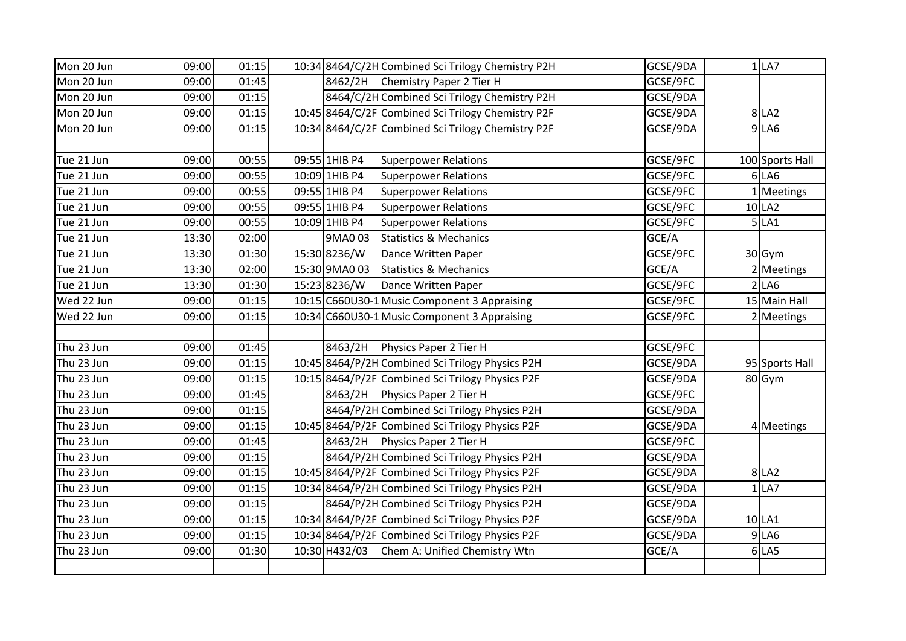| Mon 20 Jun | 09:00 | 01:15 |               | 10:34 8464/C/2H Combined Sci Trilogy Chemistry P2H | GCSE/9DA | $1$ LA7         |
|------------|-------|-------|---------------|----------------------------------------------------|----------|-----------------|
| Mon 20 Jun | 09:00 | 01:45 | 8462/2H       | Chemistry Paper 2 Tier H                           | GCSE/9FC |                 |
| Mon 20 Jun | 09:00 | 01:15 |               | 8464/C/2H Combined Sci Trilogy Chemistry P2H       | GCSE/9DA |                 |
| Mon 20 Jun | 09:00 | 01:15 |               | 10:45 8464/C/2F Combined Sci Trilogy Chemistry P2F | GCSE/9DA | 8 LA2           |
| Mon 20 Jun | 09:00 | 01:15 |               | 10:34 8464/C/2F Combined Sci Trilogy Chemistry P2F | GCSE/9DA | $9$ LA6         |
|            |       |       |               |                                                    |          |                 |
| Tue 21 Jun | 09:00 | 00:55 | 09:55 1HIB P4 | <b>Superpower Relations</b>                        | GCSE/9FC | 100 Sports Hall |
| Tue 21 Jun | 09:00 | 00:55 | 10:09 1HIB P4 | <b>Superpower Relations</b>                        | GCSE/9FC | $6$ LA $6$      |
| Tue 21 Jun | 09:00 | 00:55 | 09:55 1HIB P4 | <b>Superpower Relations</b>                        | GCSE/9FC | 1 Meetings      |
| Tue 21 Jun | 09:00 | 00:55 | 09:55 1HIB P4 | <b>Superpower Relations</b>                        | GCSE/9FC | $10$ LA2        |
| Tue 21 Jun | 09:00 | 00:55 | 10:09 1HIB P4 | <b>Superpower Relations</b>                        | GCSE/9FC | 5 LA1           |
| Tue 21 Jun | 13:30 | 02:00 | 9MA0 03       | <b>Statistics &amp; Mechanics</b>                  | GCE/A    |                 |
| Tue 21 Jun | 13:30 | 01:30 | 15:30 8236/W  | Dance Written Paper                                | GCSE/9FC | 30 Gym          |
| Tue 21 Jun | 13:30 | 02:00 | 15:30 9MA0 03 | <b>Statistics &amp; Mechanics</b>                  | GCE/A    | 2 Meetings      |
| Tue 21 Jun | 13:30 | 01:30 | 15:23 8236/W  | Dance Written Paper                                | GCSE/9FC | 2 LA6           |
| Wed 22 Jun | 09:00 | 01:15 |               | 10:15 C660U30-1 Music Component 3 Appraising       | GCSE/9FC | 15 Main Hall    |
| Wed 22 Jun | 09:00 | 01:15 |               | 10:34 C660U30-1 Music Component 3 Appraising       | GCSE/9FC | 2 Meetings      |
|            |       |       |               |                                                    |          |                 |
| Thu 23 Jun | 09:00 | 01:45 | 8463/2H       | Physics Paper 2 Tier H                             | GCSE/9FC |                 |
| Thu 23 Jun | 09:00 | 01:15 |               | 10:45 8464/P/2H Combined Sci Trilogy Physics P2H   | GCSE/9DA | 95 Sports Hall  |
| Thu 23 Jun | 09:00 | 01:15 |               | 10:15 8464/P/2F Combined Sci Trilogy Physics P2F   | GCSE/9DA | 80 Gym          |
| Thu 23 Jun | 09:00 | 01:45 | 8463/2H       | Physics Paper 2 Tier H                             | GCSE/9FC |                 |
| Thu 23 Jun | 09:00 | 01:15 |               | 8464/P/2H Combined Sci Trilogy Physics P2H         | GCSE/9DA |                 |
| Thu 23 Jun | 09:00 | 01:15 |               | 10:45 8464/P/2F Combined Sci Trilogy Physics P2F   | GCSE/9DA | 4 Meetings      |
| Thu 23 Jun | 09:00 | 01:45 | 8463/2H       | Physics Paper 2 Tier H                             | GCSE/9FC |                 |
| Thu 23 Jun | 09:00 | 01:15 |               | 8464/P/2H Combined Sci Trilogy Physics P2H         | GCSE/9DA |                 |
| Thu 23 Jun | 09:00 | 01:15 |               | 10:45 8464/P/2F Combined Sci Trilogy Physics P2F   | GCSE/9DA | 8 LA2           |
| Thu 23 Jun | 09:00 | 01:15 |               | 10:34 8464/P/2H Combined Sci Trilogy Physics P2H   | GCSE/9DA | $1$ LA7         |
| Thu 23 Jun | 09:00 | 01:15 |               | 8464/P/2H Combined Sci Trilogy Physics P2H         | GCSE/9DA |                 |
| Thu 23 Jun | 09:00 | 01:15 |               | 10:34 8464/P/2F Combined Sci Trilogy Physics P2F   | GCSE/9DA | $10$ LA1        |
| Thu 23 Jun | 09:00 | 01:15 |               | 10:34 8464/P/2F Combined Sci Trilogy Physics P2F   | GCSE/9DA | $9$ LA6         |
| Thu 23 Jun | 09:00 | 01:30 | 10:30 H432/03 | Chem A: Unified Chemistry Wtn                      | GCE/A    | $6$ LA5         |
|            |       |       |               |                                                    |          |                 |